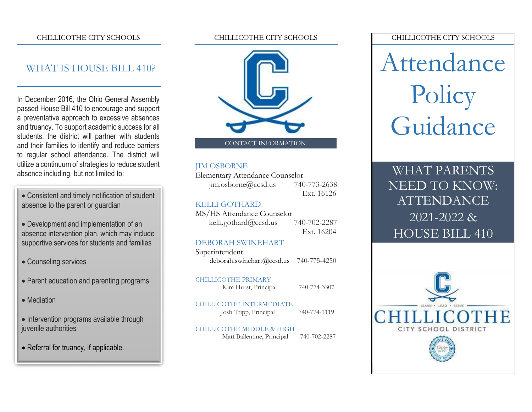#### CHILLICOTHE CITY SCHOOLS

### WHAT IS HOUSE BILL 410?

In December 2016, the Ohio General Assembly passed House Bill 410 to encourage and support a preventative approach to excessive absences and truancy. To support academic success for all students, the district will partner with students and their families to identify and reduce barriers to regular school attendance. The district will utilize a continuum of strategies to reduce student absence including, but not limited to:

• Consistent and timely notification of student absence to the parent or guardian

• Development and implementation of an absence intervention plan, which may include supportive services for students and families

- Counseling services
- Parent education and parenting programs
- Mediation
- Intervention programs available through juvenile authorities
- Referral for truancy, if applicable.

#### CHILLICOTHE CITY SCHOOLS



#### JIM OSBORNE

Elementary Attendance Counselor jim.osborne@ccsd.us 740-773-2638

Ext. 16126

#### KELLI GOTHARD

MS/HS Attendance Counselor kelli.gothard@ccsd.us 740-702-2287 Ext. 16204

#### DEBORAH SWINEHART

Superintendent [deborah.swinehart@ccsd.us](mailto:deborah.swinehart@ccsd.us) 740-775-4250

#### CHILLICOTHE PRIMARY

Kim Hurst, Principal 740-774-3307

CHILLICOTHE INTERMEDIATE Josh Tripp, Principal 740-774-1119

#### CHILLICOTHE MIDDLE & HIGH

Matt Ballentine, Principal 740-702-2287

#### CHILLICOTHE CITY SCHOOLS

Attendance Policy Guidance

WHAT PARENTS NEED TO KNOW: ATTENDANCE 2021-2022 & HOUSE BILL 410